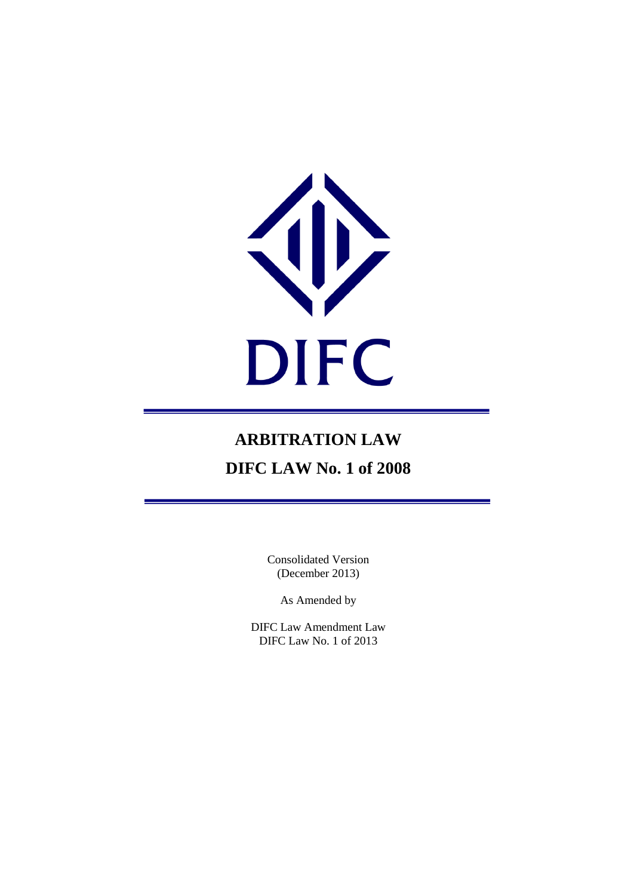

# **ARBITRATION LAW DIFC LAW No. 1 of 2008**

Consolidated Version (December 2013)

As Amended by

DIFC Law Amendment Law DIFC Law No. 1 of 2013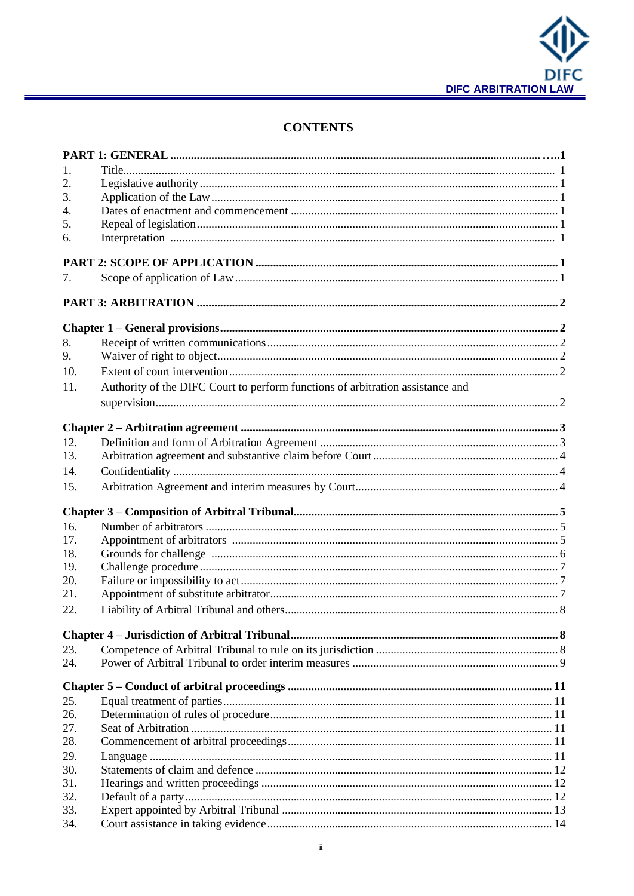

# **CONTENTS**

| 1.  |                                                                                |  |
|-----|--------------------------------------------------------------------------------|--|
| 2.  |                                                                                |  |
| 3.  |                                                                                |  |
| 4.  |                                                                                |  |
| 5.  |                                                                                |  |
| 6.  |                                                                                |  |
|     |                                                                                |  |
| 7.  |                                                                                |  |
|     |                                                                                |  |
|     |                                                                                |  |
| 8.  |                                                                                |  |
| 9.  |                                                                                |  |
| 10. |                                                                                |  |
| 11. | Authority of the DIFC Court to perform functions of arbitration assistance and |  |
|     |                                                                                |  |
|     |                                                                                |  |
|     |                                                                                |  |
| 12. |                                                                                |  |
| 13. |                                                                                |  |
| 14. |                                                                                |  |
| 15. |                                                                                |  |
|     |                                                                                |  |
| 16. |                                                                                |  |
| 17. |                                                                                |  |
| 18. |                                                                                |  |
| 19. |                                                                                |  |
| 20. |                                                                                |  |
| 21. |                                                                                |  |
| 22. |                                                                                |  |
|     |                                                                                |  |
| 23. |                                                                                |  |
| 24. |                                                                                |  |
|     |                                                                                |  |
| 25. |                                                                                |  |
| 26. |                                                                                |  |
| 27. |                                                                                |  |
| 28. |                                                                                |  |
| 29. |                                                                                |  |
| 30. |                                                                                |  |
| 31. |                                                                                |  |
| 32. |                                                                                |  |
| 33. |                                                                                |  |
| 34. |                                                                                |  |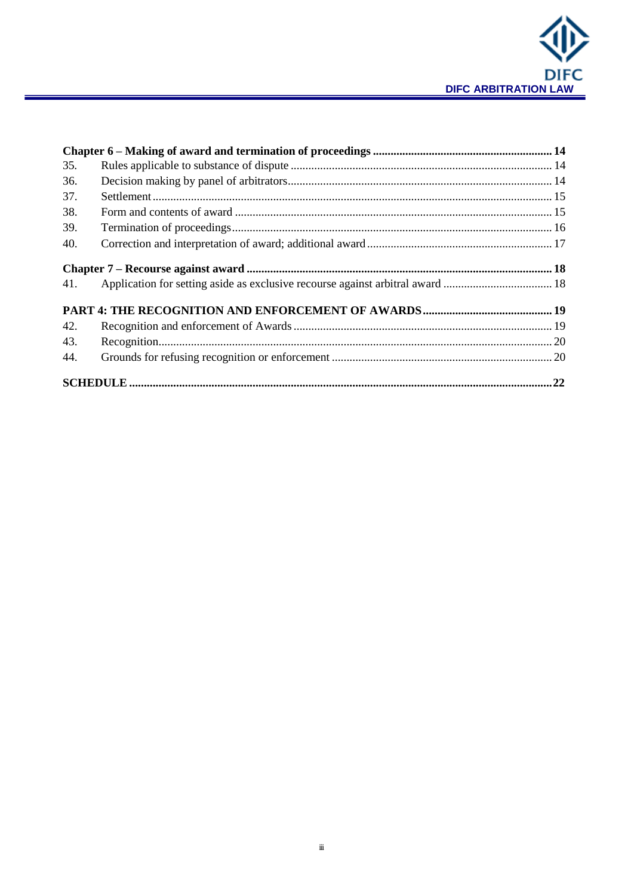

| 35. |                                                                                |  |
|-----|--------------------------------------------------------------------------------|--|
| 36. |                                                                                |  |
| 37. |                                                                                |  |
| 38. |                                                                                |  |
| 39. |                                                                                |  |
| 40. |                                                                                |  |
|     |                                                                                |  |
| 41. | Application for setting aside as exclusive recourse against arbitral award  18 |  |
|     |                                                                                |  |
| 42. |                                                                                |  |
| 43. |                                                                                |  |
| 44. |                                                                                |  |
|     |                                                                                |  |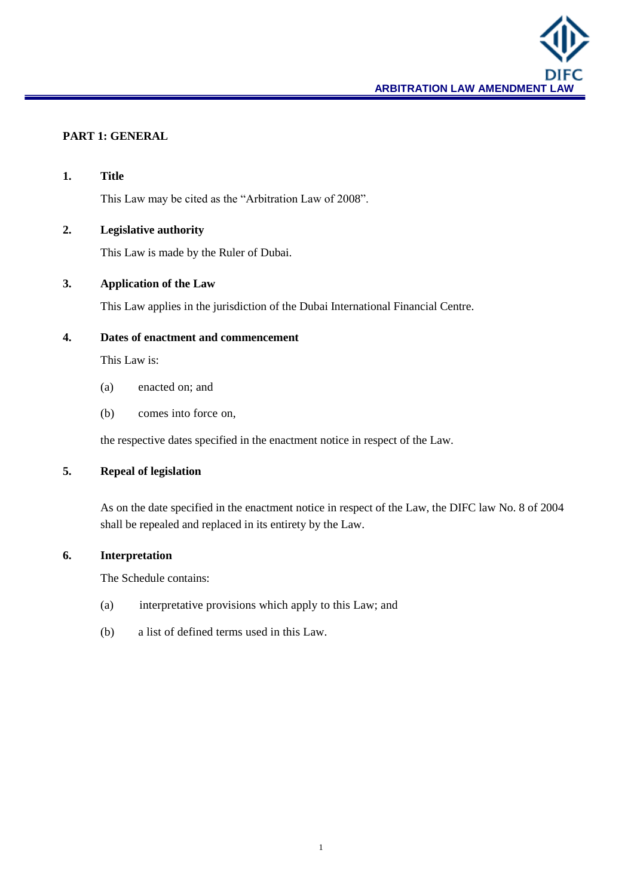

## **PART 1: GENERAL**

| 1.                                 | <b>Title</b>                                                                                                                                                     |  |
|------------------------------------|------------------------------------------------------------------------------------------------------------------------------------------------------------------|--|
|                                    | This Law may be cited as the "Arbitration Law of 2008".                                                                                                          |  |
| <b>Legislative authority</b><br>2. |                                                                                                                                                                  |  |
|                                    | This Law is made by the Ruler of Dubai.                                                                                                                          |  |
| 3.                                 | <b>Application of the Law</b>                                                                                                                                    |  |
|                                    | This Law applies in the jurisdiction of the Dubai International Financial Centre.                                                                                |  |
| 4.                                 | Dates of enactment and commencement                                                                                                                              |  |
|                                    | This Law is:                                                                                                                                                     |  |
|                                    | enacted on; and<br>(a)                                                                                                                                           |  |
|                                    | comes into force on,<br>(b)                                                                                                                                      |  |
|                                    | the respective dates specified in the enactment notice in respect of the Law.                                                                                    |  |
| 5.<br><b>Repeal of legislation</b> |                                                                                                                                                                  |  |
|                                    | As on the date specified in the enactment notice in respect of the Law, the DIFC law No. 8 of 2004<br>shall be repealed and replaced in its entirety by the Law. |  |
| 6.                                 | Interpretation                                                                                                                                                   |  |
|                                    | The Schedule contains:                                                                                                                                           |  |
|                                    | interpretative provisions which apply to this Law; and<br>(a)                                                                                                    |  |
|                                    | a list of defined terms used in this Law.<br>(b)                                                                                                                 |  |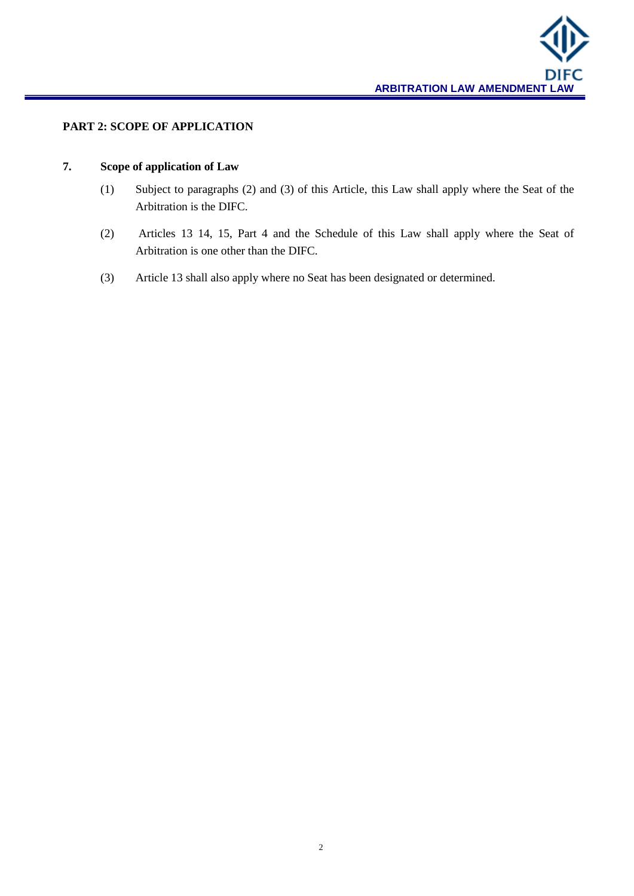

## **PART 2: SCOPE OF APPLICATION**

## **7. Scope of application of Law**

- (1) Subject to paragraphs (2) and (3) of this Article, this Law shall apply where the Seat of the Arbitration is the DIFC.
- (2) Articles 13 14, 15, Part 4 and the Schedule of this Law shall apply where the Seat of Arbitration is one other than the DIFC.
- (3) Article 13 shall also apply where no Seat has been designated or determined.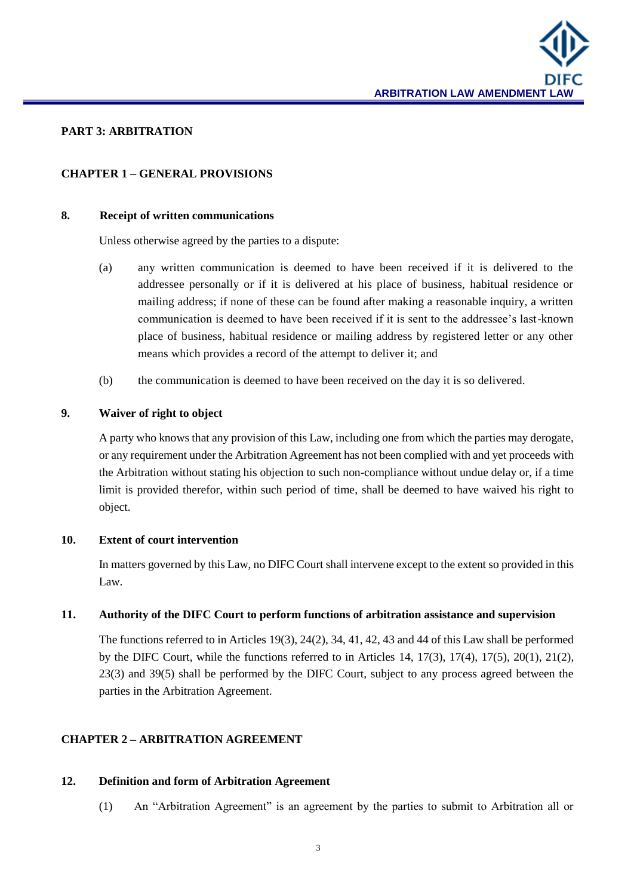

#### **PART 3: ARBITRATION**

#### **CHAPTER 1 – GENERAL PROVISIONS**

#### **8. Receipt of written communications**

Unless otherwise agreed by the parties to a dispute:

- (a) any written communication is deemed to have been received if it is delivered to the addressee personally or if it is delivered at his place of business, habitual residence or mailing address; if none of these can be found after making a reasonable inquiry, a written communication is deemed to have been received if it is sent to the addressee's last-known place of business, habitual residence or mailing address by registered letter or any other means which provides a record of the attempt to deliver it; and
- (b) the communication is deemed to have been received on the day it is so delivered.

#### **9. Waiver of right to object**

A party who knows that any provision of this Law, including one from which the parties may derogate, or any requirement under the Arbitration Agreement has not been complied with and yet proceeds with the Arbitration without stating his objection to such non-compliance without undue delay or, if a time limit is provided therefor, within such period of time, shall be deemed to have waived his right to object.

#### **10. Extent of court intervention**

In matters governed by this Law, no DIFC Court shall intervene except to the extent so provided in this Law.

#### **11. Authority of the DIFC Court to perform functions of arbitration assistance and supervision**

The functions referred to in Articles 19(3), 24(2), 34, 41, 42, 43 and 44 of this Law shall be performed by the DIFC Court, while the functions referred to in Articles 14, 17(3), 17(4), 17(5), 20(1), 21(2), 23(3) and 39(5) shall be performed by the DIFC Court, subject to any process agreed between the parties in the Arbitration Agreement.

#### **CHAPTER 2 – ARBITRATION AGREEMENT**

#### **12. Definition and form of Arbitration Agreement**

(1) An "Arbitration Agreement" is an agreement by the parties to submit to Arbitration all or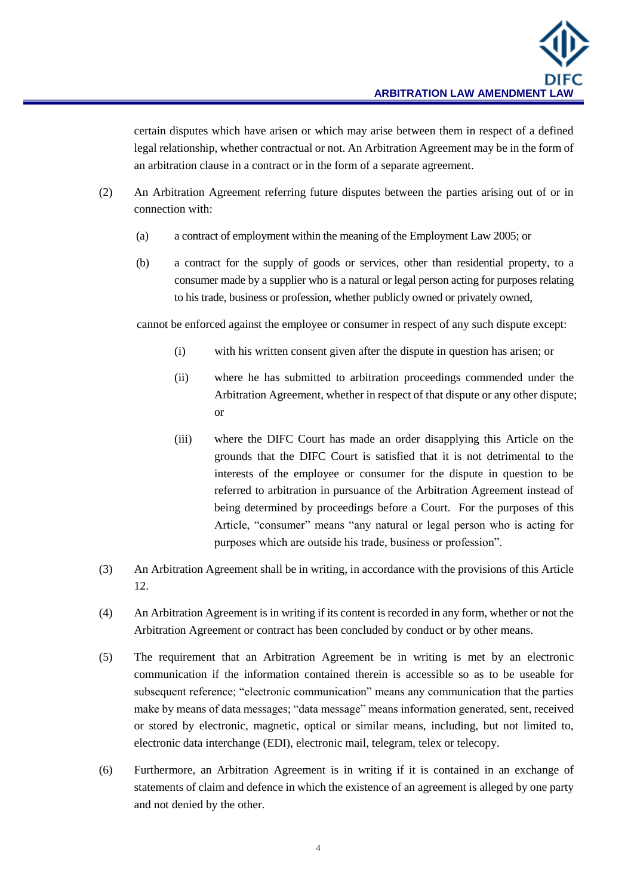certain disputes which have arisen or which may arise between them in respect of a defined legal relationship, whether contractual or not. An Arbitration Agreement may be in the form of an arbitration clause in a contract or in the form of a separate agreement.

- (2) An Arbitration Agreement referring future disputes between the parties arising out of or in connection with:
	- (a) a contract of employment within the meaning of the Employment Law 2005; or
	- (b) a contract for the supply of goods or services, other than residential property, to a consumer made by a supplier who is a natural or legal person acting for purposes relating to his trade, business or profession, whether publicly owned or privately owned,

cannot be enforced against the employee or consumer in respect of any such dispute except:

- (i) with his written consent given after the dispute in question has arisen; or
- (ii) where he has submitted to arbitration proceedings commended under the Arbitration Agreement, whether in respect of that dispute or any other dispute; or
- (iii) where the DIFC Court has made an order disapplying this Article on the grounds that the DIFC Court is satisfied that it is not detrimental to the interests of the employee or consumer for the dispute in question to be referred to arbitration in pursuance of the Arbitration Agreement instead of being determined by proceedings before a Court. For the purposes of this Article, "consumer" means "any natural or legal person who is acting for purposes which are outside his trade, business or profession".
- (3) An Arbitration Agreement shall be in writing, in accordance with the provisions of this Article 12.
- (4) An Arbitration Agreement is in writing if its content is recorded in any form, whether or not the Arbitration Agreement or contract has been concluded by conduct or by other means.
- (5) The requirement that an Arbitration Agreement be in writing is met by an electronic communication if the information contained therein is accessible so as to be useable for subsequent reference; "electronic communication" means any communication that the parties make by means of data messages; "data message" means information generated, sent, received or stored by electronic, magnetic, optical or similar means, including, but not limited to, electronic data interchange (EDI), electronic mail, telegram, telex or telecopy.
- (6) Furthermore, an Arbitration Agreement is in writing if it is contained in an exchange of statements of claim and defence in which the existence of an agreement is alleged by one party and not denied by the other.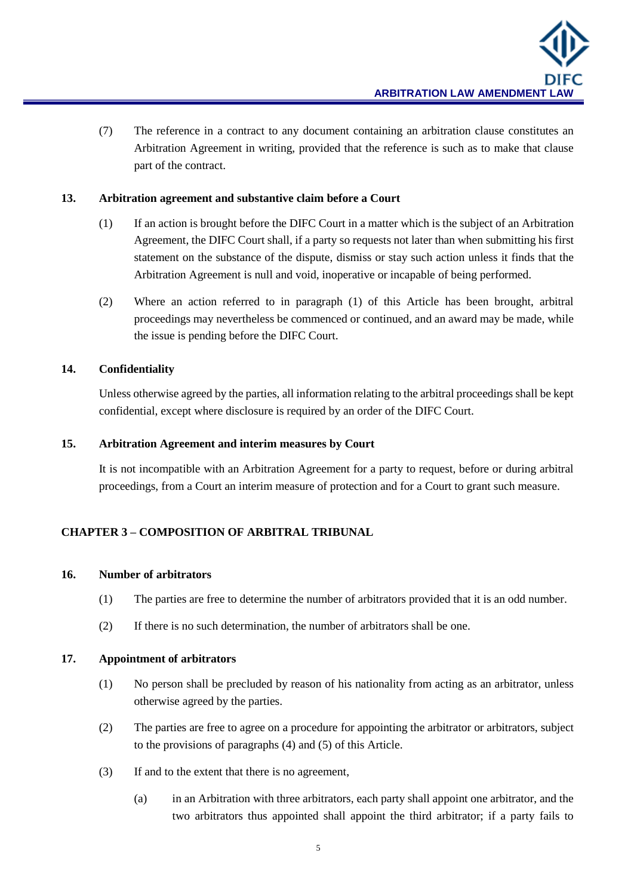(7) The reference in a contract to any document containing an arbitration clause constitutes an Arbitration Agreement in writing, provided that the reference is such as to make that clause part of the contract.

#### **13. Arbitration agreement and substantive claim before a Court**

- (1) If an action is brought before the DIFC Court in a matter which is the subject of an Arbitration Agreement, the DIFC Court shall, if a party so requests not later than when submitting his first statement on the substance of the dispute, dismiss or stay such action unless it finds that the Arbitration Agreement is null and void, inoperative or incapable of being performed.
- (2) Where an action referred to in paragraph (1) of this Article has been brought, arbitral proceedings may nevertheless be commenced or continued, and an award may be made, while the issue is pending before the DIFC Court.

## **14. Confidentiality**

Unless otherwise agreed by the parties, all information relating to the arbitral proceedings shall be kept confidential, except where disclosure is required by an order of the DIFC Court.

## **15. Arbitration Agreement and interim measures by Court**

It is not incompatible with an Arbitration Agreement for a party to request, before or during arbitral proceedings, from a Court an interim measure of protection and for a Court to grant such measure.

## **CHAPTER 3 – COMPOSITION OF ARBITRAL TRIBUNAL**

#### **16. Number of arbitrators**

- (1) The parties are free to determine the number of arbitrators provided that it is an odd number.
- (2) If there is no such determination, the number of arbitrators shall be one.

#### **17. Appointment of arbitrators**

- (1) No person shall be precluded by reason of his nationality from acting as an arbitrator, unless otherwise agreed by the parties.
- (2) The parties are free to agree on a procedure for appointing the arbitrator or arbitrators, subject to the provisions of paragraphs (4) and (5) of this Article.
- (3) If and to the extent that there is no agreement,
	- (a) in an Arbitration with three arbitrators, each party shall appoint one arbitrator, and the two arbitrators thus appointed shall appoint the third arbitrator; if a party fails to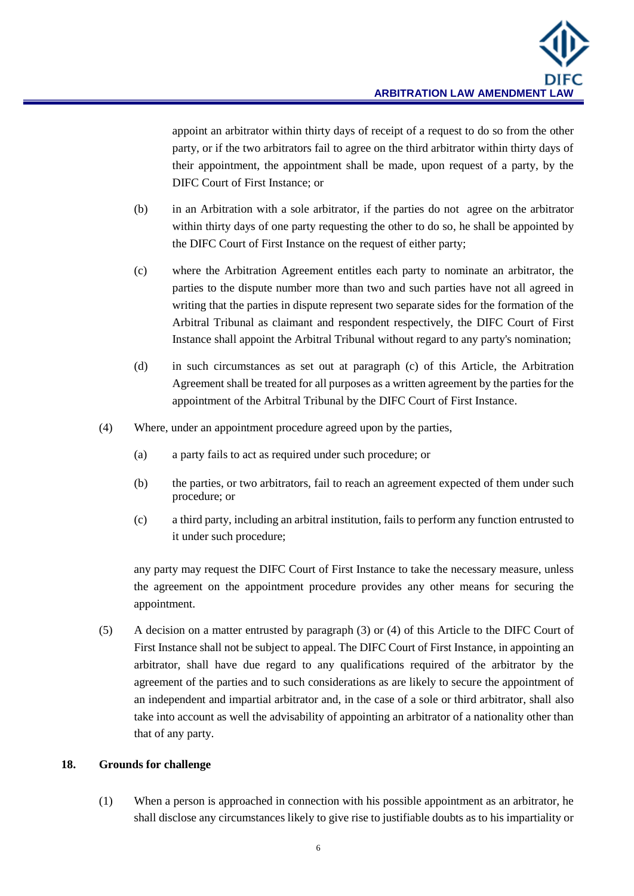appoint an arbitrator within thirty days of receipt of a request to do so from the other party, or if the two arbitrators fail to agree on the third arbitrator within thirty days of their appointment, the appointment shall be made, upon request of a party, by the DIFC Court of First Instance; or

- (b) in an Arbitration with a sole arbitrator, if the parties do not agree on the arbitrator within thirty days of one party requesting the other to do so, he shall be appointed by the DIFC Court of First Instance on the request of either party;
- (c) where the Arbitration Agreement entitles each party to nominate an arbitrator, the parties to the dispute number more than two and such parties have not all agreed in writing that the parties in dispute represent two separate sides for the formation of the Arbitral Tribunal as claimant and respondent respectively, the DIFC Court of First Instance shall appoint the Arbitral Tribunal without regard to any party's nomination;
- (d) in such circumstances as set out at paragraph (c) of this Article, the Arbitration Agreement shall be treated for all purposes as a written agreement by the parties for the appointment of the Arbitral Tribunal by the DIFC Court of First Instance.
- (4) Where, under an appointment procedure agreed upon by the parties,
	- (a) a party fails to act as required under such procedure; or
	- (b) the parties, or two arbitrators, fail to reach an agreement expected of them under such procedure; or
	- (c) a third party, including an arbitral institution, fails to perform any function entrusted to it under such procedure;

any party may request the DIFC Court of First Instance to take the necessary measure, unless the agreement on the appointment procedure provides any other means for securing the appointment.

(5) A decision on a matter entrusted by paragraph (3) or (4) of this Article to the DIFC Court of First Instance shall not be subject to appeal. The DIFC Court of First Instance, in appointing an arbitrator, shall have due regard to any qualifications required of the arbitrator by the agreement of the parties and to such considerations as are likely to secure the appointment of an independent and impartial arbitrator and, in the case of a sole or third arbitrator, shall also take into account as well the advisability of appointing an arbitrator of a nationality other than that of any party.

#### **18. Grounds for challenge**

(1) When a person is approached in connection with his possible appointment as an arbitrator, he shall disclose any circumstances likely to give rise to justifiable doubts as to his impartiality or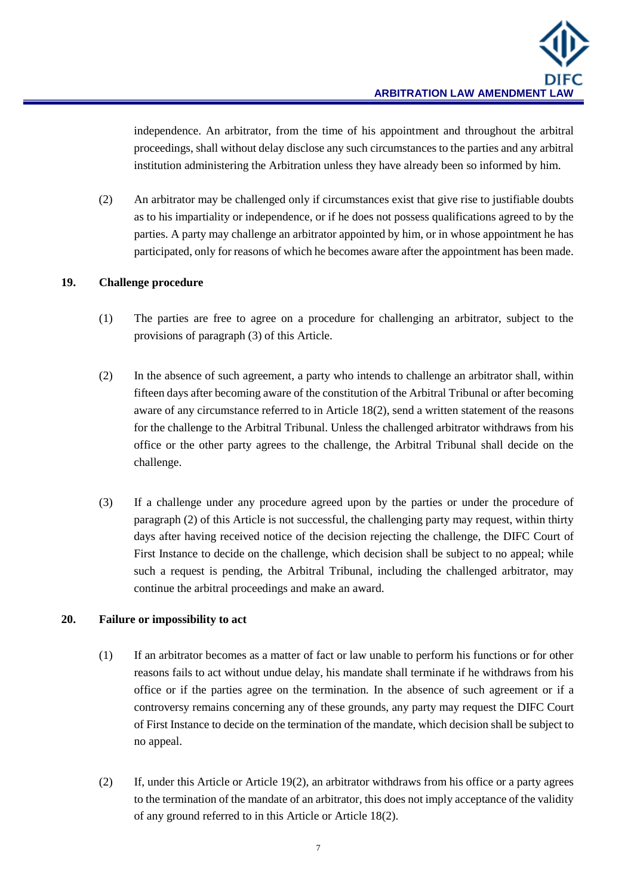independence. An arbitrator, from the time of his appointment and throughout the arbitral proceedings, shall without delay disclose any such circumstances to the parties and any arbitral institution administering the Arbitration unless they have already been so informed by him.

(2) An arbitrator may be challenged only if circumstances exist that give rise to justifiable doubts as to his impartiality or independence, or if he does not possess qualifications agreed to by the parties. A party may challenge an arbitrator appointed by him, or in whose appointment he has participated, only for reasons of which he becomes aware after the appointment has been made.

## **19. Challenge procedure**

- (1) The parties are free to agree on a procedure for challenging an arbitrator, subject to the provisions of paragraph (3) of this Article.
- (2) In the absence of such agreement, a party who intends to challenge an arbitrator shall, within fifteen days after becoming aware of the constitution of the Arbitral Tribunal or after becoming aware of any circumstance referred to in Article 18(2), send a written statement of the reasons for the challenge to the Arbitral Tribunal. Unless the challenged arbitrator withdraws from his office or the other party agrees to the challenge, the Arbitral Tribunal shall decide on the challenge.
- (3) If a challenge under any procedure agreed upon by the parties or under the procedure of paragraph (2) of this Article is not successful, the challenging party may request, within thirty days after having received notice of the decision rejecting the challenge, the DIFC Court of First Instance to decide on the challenge, which decision shall be subject to no appeal; while such a request is pending, the Arbitral Tribunal, including the challenged arbitrator, may continue the arbitral proceedings and make an award.

#### **20. Failure or impossibility to act**

- (1) If an arbitrator becomes as a matter of fact or law unable to perform his functions or for other reasons fails to act without undue delay, his mandate shall terminate if he withdraws from his office or if the parties agree on the termination. In the absence of such agreement or if a controversy remains concerning any of these grounds, any party may request the DIFC Court of First Instance to decide on the termination of the mandate, which decision shall be subject to no appeal.
- (2) If, under this Article or Article 19(2), an arbitrator withdraws from his office or a party agrees to the termination of the mandate of an arbitrator, this does not imply acceptance of the validity of any ground referred to in this Article or Article 18(2).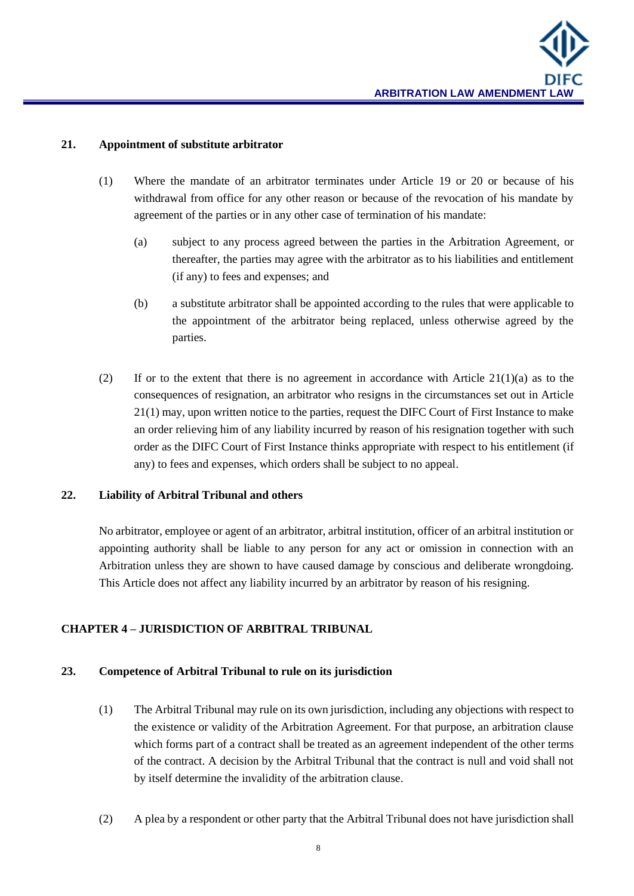#### **21. Appointment of substitute arbitrator**

- (1) Where the mandate of an arbitrator terminates under Article 19 or 20 or because of his withdrawal from office for any other reason or because of the revocation of his mandate by agreement of the parties or in any other case of termination of his mandate:
	- (a) subject to any process agreed between the parties in the Arbitration Agreement, or thereafter, the parties may agree with the arbitrator as to his liabilities and entitlement (if any) to fees and expenses; and
	- (b) a substitute arbitrator shall be appointed according to the rules that were applicable to the appointment of the arbitrator being replaced, unless otherwise agreed by the parties.
- (2) If or to the extent that there is no agreement in accordance with Article  $21(1)(a)$  as to the consequences of resignation, an arbitrator who resigns in the circumstances set out in Article 21(1) may, upon written notice to the parties, request the DIFC Court of First Instance to make an order relieving him of any liability incurred by reason of his resignation together with such order as the DIFC Court of First Instance thinks appropriate with respect to his entitlement (if any) to fees and expenses, which orders shall be subject to no appeal.

## **22. Liability of Arbitral Tribunal and others**

No arbitrator, employee or agent of an arbitrator, arbitral institution, officer of an arbitral institution or appointing authority shall be liable to any person for any act or omission in connection with an Arbitration unless they are shown to have caused damage by conscious and deliberate wrongdoing. This Article does not affect any liability incurred by an arbitrator by reason of his resigning.

#### **CHAPTER 4 – JURISDICTION OF ARBITRAL TRIBUNAL**

#### **23. Competence of Arbitral Tribunal to rule on its jurisdiction**

- (1) The Arbitral Tribunal may rule on its own jurisdiction, including any objections with respect to the existence or validity of the Arbitration Agreement. For that purpose, an arbitration clause which forms part of a contract shall be treated as an agreement independent of the other terms of the contract. A decision by the Arbitral Tribunal that the contract is null and void shall not by itself determine the invalidity of the arbitration clause.
- (2) A plea by a respondent or other party that the Arbitral Tribunal does not have jurisdiction shall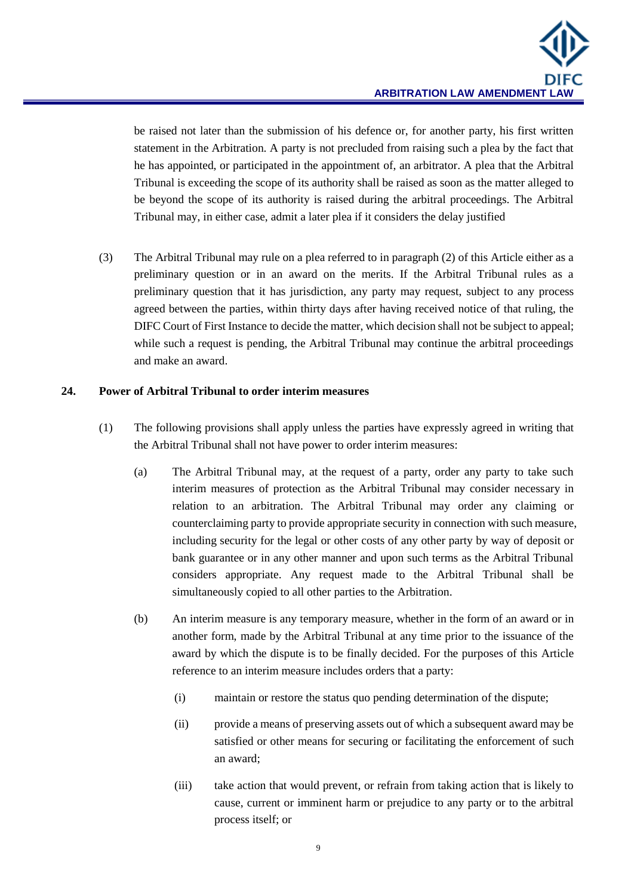be raised not later than the submission of his defence or, for another party, his first written statement in the Arbitration. A party is not precluded from raising such a plea by the fact that he has appointed, or participated in the appointment of, an arbitrator. A plea that the Arbitral Tribunal is exceeding the scope of its authority shall be raised as soon as the matter alleged to be beyond the scope of its authority is raised during the arbitral proceedings. The Arbitral Tribunal may, in either case, admit a later plea if it considers the delay justified

(3) The Arbitral Tribunal may rule on a plea referred to in paragraph (2) of this Article either as a preliminary question or in an award on the merits. If the Arbitral Tribunal rules as a preliminary question that it has jurisdiction, any party may request, subject to any process agreed between the parties, within thirty days after having received notice of that ruling, the DIFC Court of First Instance to decide the matter, which decision shall not be subject to appeal; while such a request is pending, the Arbitral Tribunal may continue the arbitral proceedings and make an award.

## **24. Power of Arbitral Tribunal to order interim measures**

- (1) The following provisions shall apply unless the parties have expressly agreed in writing that the Arbitral Tribunal shall not have power to order interim measures:
	- (a) The Arbitral Tribunal may, at the request of a party, order any party to take such interim measures of protection as the Arbitral Tribunal may consider necessary in relation to an arbitration. The Arbitral Tribunal may order any claiming or counterclaiming party to provide appropriate security in connection with such measure, including security for the legal or other costs of any other party by way of deposit or bank guarantee or in any other manner and upon such terms as the Arbitral Tribunal considers appropriate. Any request made to the Arbitral Tribunal shall be simultaneously copied to all other parties to the Arbitration.
	- (b) An interim measure is any temporary measure, whether in the form of an award or in another form, made by the Arbitral Tribunal at any time prior to the issuance of the award by which the dispute is to be finally decided. For the purposes of this Article reference to an interim measure includes orders that a party:
		- (i) maintain or restore the status quo pending determination of the dispute;
		- (ii) provide a means of preserving assets out of which a subsequent award may be satisfied or other means for securing or facilitating the enforcement of such an award;
		- (iii) take action that would prevent, or refrain from taking action that is likely to cause, current or imminent harm or prejudice to any party or to the arbitral process itself; or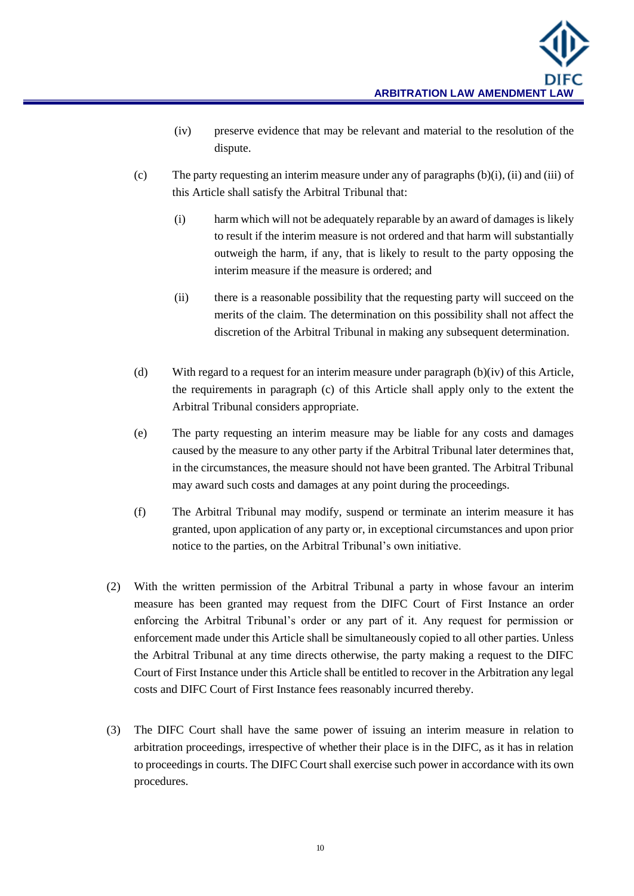- (iv) preserve evidence that may be relevant and material to the resolution of the dispute.
- (c) The party requesting an interim measure under any of paragraphs (b)(i), (ii) and (iii) of this Article shall satisfy the Arbitral Tribunal that:
	- (i) harm which will not be adequately reparable by an award of damages is likely to result if the interim measure is not ordered and that harm will substantially outweigh the harm, if any, that is likely to result to the party opposing the interim measure if the measure is ordered; and
	- (ii) there is a reasonable possibility that the requesting party will succeed on the merits of the claim. The determination on this possibility shall not affect the discretion of the Arbitral Tribunal in making any subsequent determination.
- (d) With regard to a request for an interim measure under paragraph  $(b)(iv)$  of this Article, the requirements in paragraph (c) of this Article shall apply only to the extent the Arbitral Tribunal considers appropriate.
- (e) The party requesting an interim measure may be liable for any costs and damages caused by the measure to any other party if the Arbitral Tribunal later determines that, in the circumstances, the measure should not have been granted. The Arbitral Tribunal may award such costs and damages at any point during the proceedings.
- (f) The Arbitral Tribunal may modify, suspend or terminate an interim measure it has granted, upon application of any party or, in exceptional circumstances and upon prior notice to the parties, on the Arbitral Tribunal's own initiative.
- (2) With the written permission of the Arbitral Tribunal a party in whose favour an interim measure has been granted may request from the DIFC Court of First Instance an order enforcing the Arbitral Tribunal's order or any part of it. Any request for permission or enforcement made under this Article shall be simultaneously copied to all other parties. Unless the Arbitral Tribunal at any time directs otherwise, the party making a request to the DIFC Court of First Instance under this Article shall be entitled to recover in the Arbitration any legal costs and DIFC Court of First Instance fees reasonably incurred thereby.
- (3) The DIFC Court shall have the same power of issuing an interim measure in relation to arbitration proceedings, irrespective of whether their place is in the DIFC, as it has in relation to proceedings in courts. The DIFC Court shall exercise such power in accordance with its own procedures.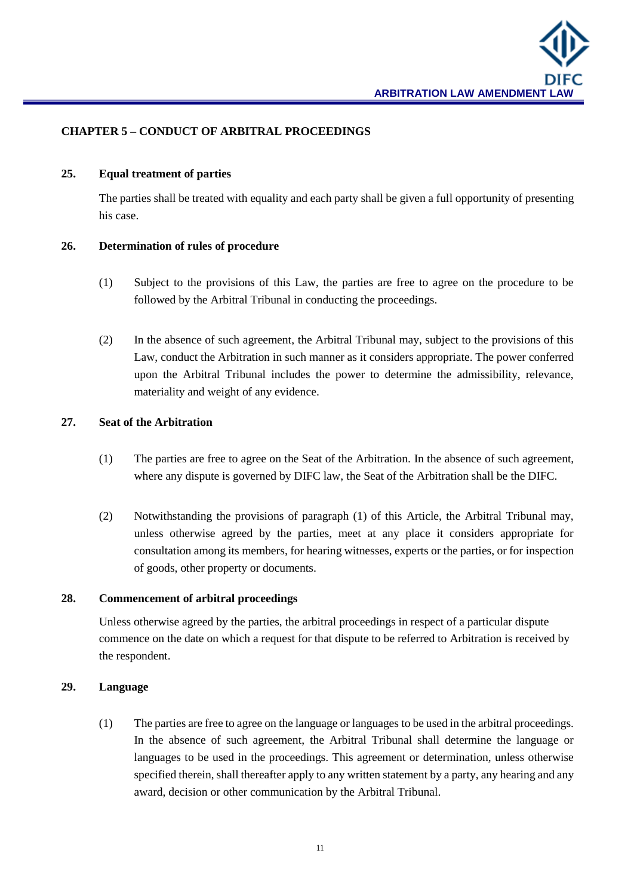

#### **CHAPTER 5 – CONDUCT OF ARBITRAL PROCEEDINGS**

#### **25. Equal treatment of parties**

The parties shall be treated with equality and each party shall be given a full opportunity of presenting his case.

#### **26. Determination of rules of procedure**

- (1) Subject to the provisions of this Law, the parties are free to agree on the procedure to be followed by the Arbitral Tribunal in conducting the proceedings.
- (2) In the absence of such agreement, the Arbitral Tribunal may, subject to the provisions of this Law, conduct the Arbitration in such manner as it considers appropriate. The power conferred upon the Arbitral Tribunal includes the power to determine the admissibility, relevance, materiality and weight of any evidence.

#### **27. Seat of the Arbitration**

- (1) The parties are free to agree on the Seat of the Arbitration. In the absence of such agreement, where any dispute is governed by DIFC law, the Seat of the Arbitration shall be the DIFC.
- (2) Notwithstanding the provisions of paragraph (1) of this Article, the Arbitral Tribunal may, unless otherwise agreed by the parties, meet at any place it considers appropriate for consultation among its members, for hearing witnesses, experts or the parties, or for inspection of goods, other property or documents.

#### **28. Commencement of arbitral proceedings**

Unless otherwise agreed by the parties, the arbitral proceedings in respect of a particular dispute commence on the date on which a request for that dispute to be referred to Arbitration is received by the respondent.

#### **29. Language**

(1) The parties are free to agree on the language or languages to be used in the arbitral proceedings. In the absence of such agreement, the Arbitral Tribunal shall determine the language or languages to be used in the proceedings. This agreement or determination, unless otherwise specified therein, shall thereafter apply to any written statement by a party, any hearing and any award, decision or other communication by the Arbitral Tribunal.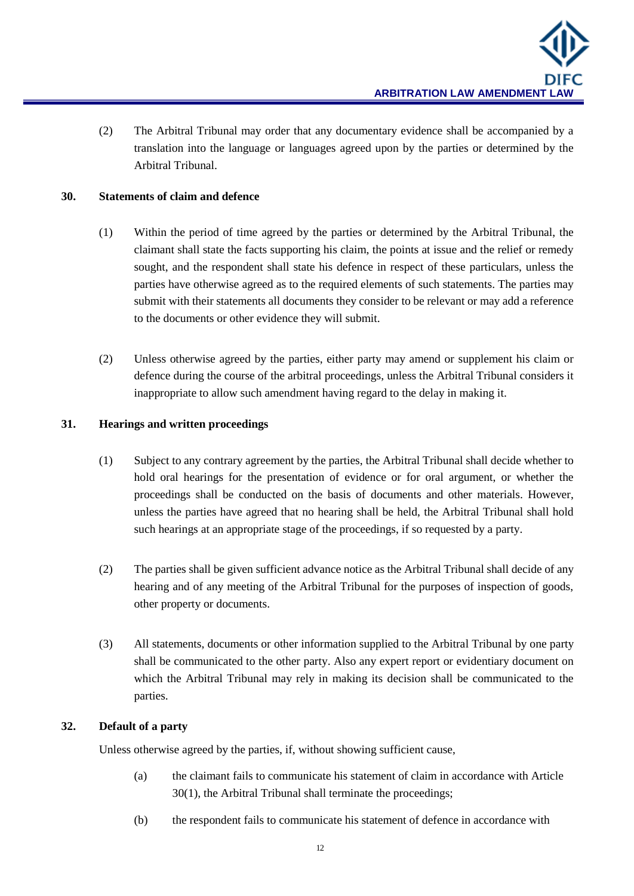(2) The Arbitral Tribunal may order that any documentary evidence shall be accompanied by a translation into the language or languages agreed upon by the parties or determined by the Arbitral Tribunal.

## **30. Statements of claim and defence**

- (1) Within the period of time agreed by the parties or determined by the Arbitral Tribunal, the claimant shall state the facts supporting his claim, the points at issue and the relief or remedy sought, and the respondent shall state his defence in respect of these particulars, unless the parties have otherwise agreed as to the required elements of such statements. The parties may submit with their statements all documents they consider to be relevant or may add a reference to the documents or other evidence they will submit.
- (2) Unless otherwise agreed by the parties, either party may amend or supplement his claim or defence during the course of the arbitral proceedings, unless the Arbitral Tribunal considers it inappropriate to allow such amendment having regard to the delay in making it.

#### **31. Hearings and written proceedings**

- (1) Subject to any contrary agreement by the parties, the Arbitral Tribunal shall decide whether to hold oral hearings for the presentation of evidence or for oral argument, or whether the proceedings shall be conducted on the basis of documents and other materials. However, unless the parties have agreed that no hearing shall be held, the Arbitral Tribunal shall hold such hearings at an appropriate stage of the proceedings, if so requested by a party.
- (2) The parties shall be given sufficient advance notice as the Arbitral Tribunal shall decide of any hearing and of any meeting of the Arbitral Tribunal for the purposes of inspection of goods, other property or documents.
- (3) All statements, documents or other information supplied to the Arbitral Tribunal by one party shall be communicated to the other party. Also any expert report or evidentiary document on which the Arbitral Tribunal may rely in making its decision shall be communicated to the parties.

## **32. Default of a party**

Unless otherwise agreed by the parties, if, without showing sufficient cause,

- (a) the claimant fails to communicate his statement of claim in accordance with Article 30(1), the Arbitral Tribunal shall terminate the proceedings;
- (b) the respondent fails to communicate his statement of defence in accordance with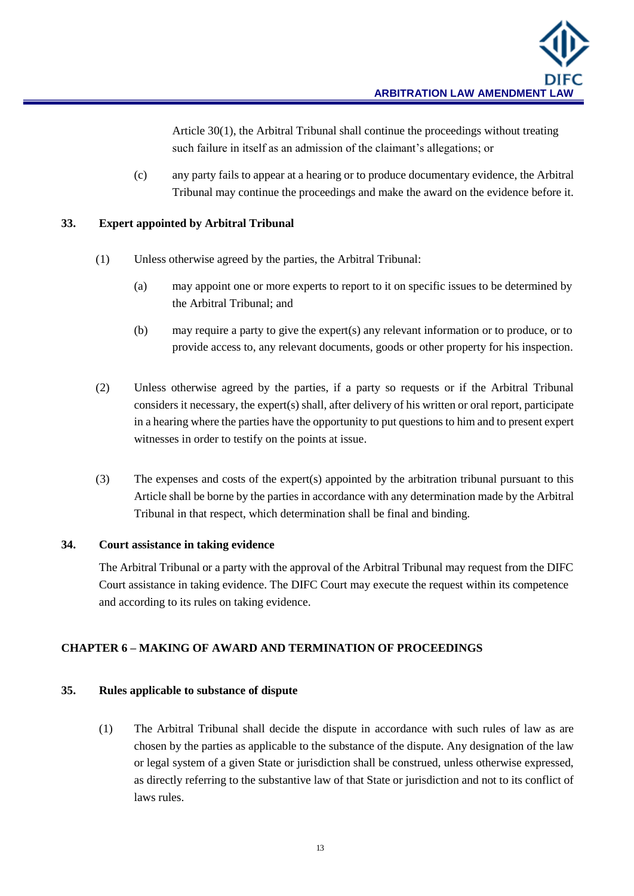Article 30(1), the Arbitral Tribunal shall continue the proceedings without treating such failure in itself as an admission of the claimant's allegations; or

(c) any party fails to appear at a hearing or to produce documentary evidence, the Arbitral Tribunal may continue the proceedings and make the award on the evidence before it.

## **33. Expert appointed by Arbitral Tribunal**

- (1) Unless otherwise agreed by the parties, the Arbitral Tribunal:
	- (a) may appoint one or more experts to report to it on specific issues to be determined by the Arbitral Tribunal; and
	- (b) may require a party to give the expert(s) any relevant information or to produce, or to provide access to, any relevant documents, goods or other property for his inspection.
- (2) Unless otherwise agreed by the parties, if a party so requests or if the Arbitral Tribunal considers it necessary, the expert(s) shall, after delivery of his written or oral report, participate in a hearing where the parties have the opportunity to put questions to him and to present expert witnesses in order to testify on the points at issue.
- (3) The expenses and costs of the expert(s) appointed by the arbitration tribunal pursuant to this Article shall be borne by the parties in accordance with any determination made by the Arbitral Tribunal in that respect, which determination shall be final and binding.

#### **34. Court assistance in taking evidence**

The Arbitral Tribunal or a party with the approval of the Arbitral Tribunal may request from the DIFC Court assistance in taking evidence. The DIFC Court may execute the request within its competence and according to its rules on taking evidence.

## **CHAPTER 6 – MAKING OF AWARD AND TERMINATION OF PROCEEDINGS**

## **35. Rules applicable to substance of dispute**

(1) The Arbitral Tribunal shall decide the dispute in accordance with such rules of law as are chosen by the parties as applicable to the substance of the dispute. Any designation of the law or legal system of a given State or jurisdiction shall be construed, unless otherwise expressed, as directly referring to the substantive law of that State or jurisdiction and not to its conflict of laws rules.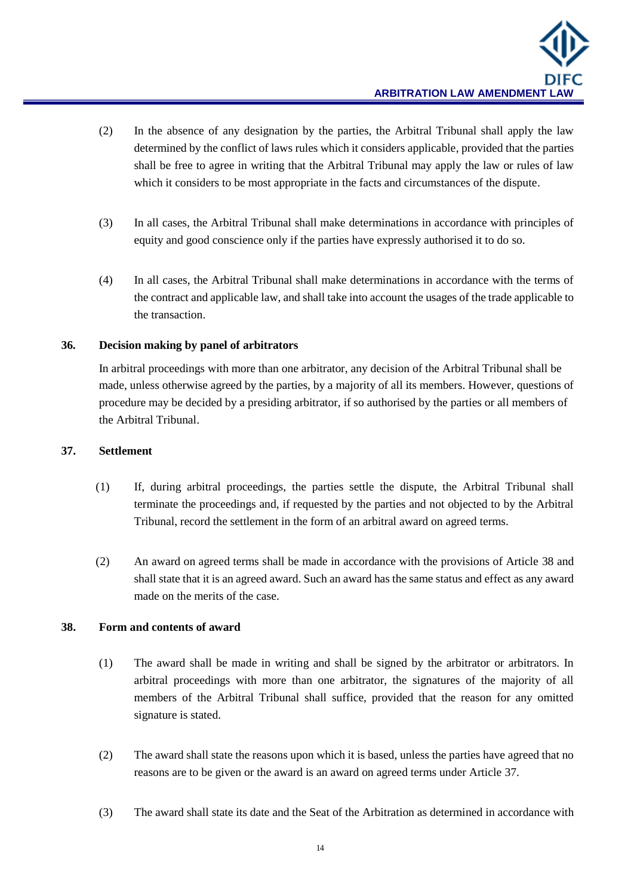- (2) In the absence of any designation by the parties, the Arbitral Tribunal shall apply the law determined by the conflict of laws rules which it considers applicable, provided that the parties shall be free to agree in writing that the Arbitral Tribunal may apply the law or rules of law which it considers to be most appropriate in the facts and circumstances of the dispute.
- (3) In all cases, the Arbitral Tribunal shall make determinations in accordance with principles of equity and good conscience only if the parties have expressly authorised it to do so.
- (4) In all cases, the Arbitral Tribunal shall make determinations in accordance with the terms of the contract and applicable law, and shall take into account the usages of the trade applicable to the transaction.

## **36. Decision making by panel of arbitrators**

In arbitral proceedings with more than one arbitrator, any decision of the Arbitral Tribunal shall be made, unless otherwise agreed by the parties, by a majority of all its members. However, questions of procedure may be decided by a presiding arbitrator, if so authorised by the parties or all members of the Arbitral Tribunal.

#### **37. Settlement**

- (1) If, during arbitral proceedings, the parties settle the dispute, the Arbitral Tribunal shall terminate the proceedings and, if requested by the parties and not objected to by the Arbitral Tribunal, record the settlement in the form of an arbitral award on agreed terms.
- (2) An award on agreed terms shall be made in accordance with the provisions of Article 38 and shall state that it is an agreed award. Such an award has the same status and effect as any award made on the merits of the case.

## **38. Form and contents of award**

- (1) The award shall be made in writing and shall be signed by the arbitrator or arbitrators. In arbitral proceedings with more than one arbitrator, the signatures of the majority of all members of the Arbitral Tribunal shall suffice, provided that the reason for any omitted signature is stated.
- (2) The award shall state the reasons upon which it is based, unless the parties have agreed that no reasons are to be given or the award is an award on agreed terms under Article 37.
- (3) The award shall state its date and the Seat of the Arbitration as determined in accordance with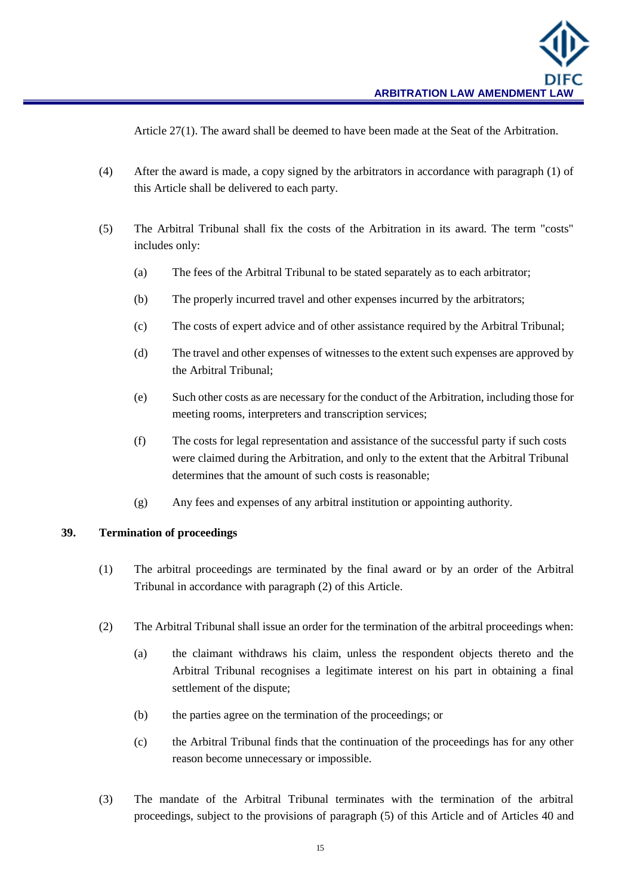Article 27(1). The award shall be deemed to have been made at the Seat of the Arbitration.

- (4) After the award is made, a copy signed by the arbitrators in accordance with paragraph (1) of this Article shall be delivered to each party.
- (5) The Arbitral Tribunal shall fix the costs of the Arbitration in its award. The term "costs" includes only:
	- (a) The fees of the Arbitral Tribunal to be stated separately as to each arbitrator;
	- (b) The properly incurred travel and other expenses incurred by the arbitrators;
	- (c) The costs of expert advice and of other assistance required by the Arbitral Tribunal;
	- (d) The travel and other expenses of witnesses to the extent such expenses are approved by the Arbitral Tribunal;
	- (e) Such other costs as are necessary for the conduct of the Arbitration, including those for meeting rooms, interpreters and transcription services;
	- (f) The costs for legal representation and assistance of the successful party if such costs were claimed during the Arbitration, and only to the extent that the Arbitral Tribunal determines that the amount of such costs is reasonable;
	- (g) Any fees and expenses of any arbitral institution or appointing authority.

#### **39. Termination of proceedings**

- (1) The arbitral proceedings are terminated by the final award or by an order of the Arbitral Tribunal in accordance with paragraph (2) of this Article.
- (2) The Arbitral Tribunal shall issue an order for the termination of the arbitral proceedings when:
	- (a) the claimant withdraws his claim, unless the respondent objects thereto and the Arbitral Tribunal recognises a legitimate interest on his part in obtaining a final settlement of the dispute;
	- (b) the parties agree on the termination of the proceedings; or
	- (c) the Arbitral Tribunal finds that the continuation of the proceedings has for any other reason become unnecessary or impossible.
- (3) The mandate of the Arbitral Tribunal terminates with the termination of the arbitral proceedings, subject to the provisions of paragraph (5) of this Article and of Articles 40 and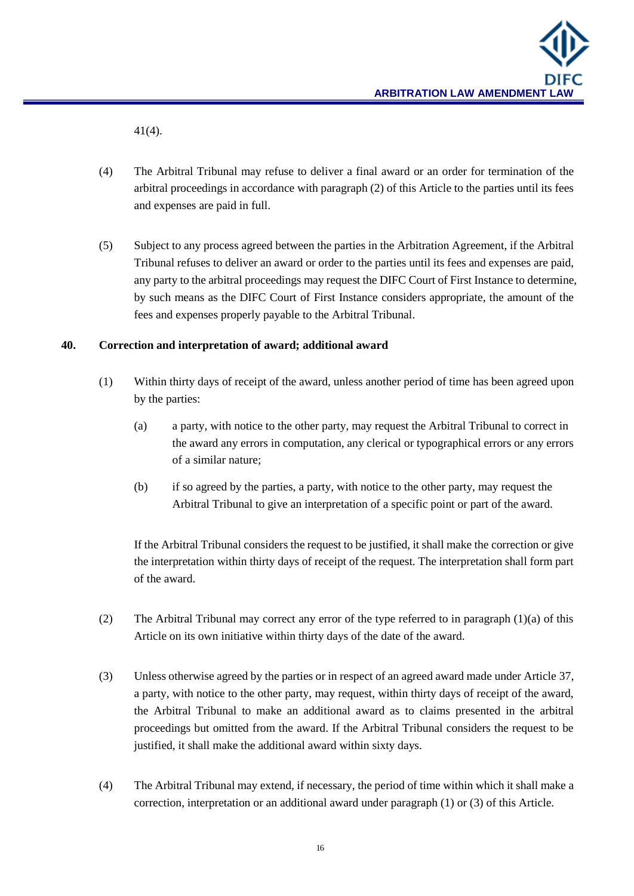

41(4).

- (4) The Arbitral Tribunal may refuse to deliver a final award or an order for termination of the arbitral proceedings in accordance with paragraph (2) of this Article to the parties until its fees and expenses are paid in full.
- (5) Subject to any process agreed between the parties in the Arbitration Agreement, if the Arbitral Tribunal refuses to deliver an award or order to the parties until its fees and expenses are paid, any party to the arbitral proceedings may request the DIFC Court of First Instance to determine, by such means as the DIFC Court of First Instance considers appropriate, the amount of the fees and expenses properly payable to the Arbitral Tribunal.

#### **40. Correction and interpretation of award; additional award**

- (1) Within thirty days of receipt of the award, unless another period of time has been agreed upon by the parties:
	- (a) a party, with notice to the other party, may request the Arbitral Tribunal to correct in the award any errors in computation, any clerical or typographical errors or any errors of a similar nature;
	- (b) if so agreed by the parties, a party, with notice to the other party, may request the Arbitral Tribunal to give an interpretation of a specific point or part of the award.

If the Arbitral Tribunal considers the request to be justified, it shall make the correction or give the interpretation within thirty days of receipt of the request. The interpretation shall form part of the award.

- (2) The Arbitral Tribunal may correct any error of the type referred to in paragraph (1)(a) of this Article on its own initiative within thirty days of the date of the award.
- (3) Unless otherwise agreed by the parties or in respect of an agreed award made under Article 37, a party, with notice to the other party, may request, within thirty days of receipt of the award, the Arbitral Tribunal to make an additional award as to claims presented in the arbitral proceedings but omitted from the award. If the Arbitral Tribunal considers the request to be justified, it shall make the additional award within sixty days.
- (4) The Arbitral Tribunal may extend, if necessary, the period of time within which it shall make a correction, interpretation or an additional award under paragraph (1) or (3) of this Article.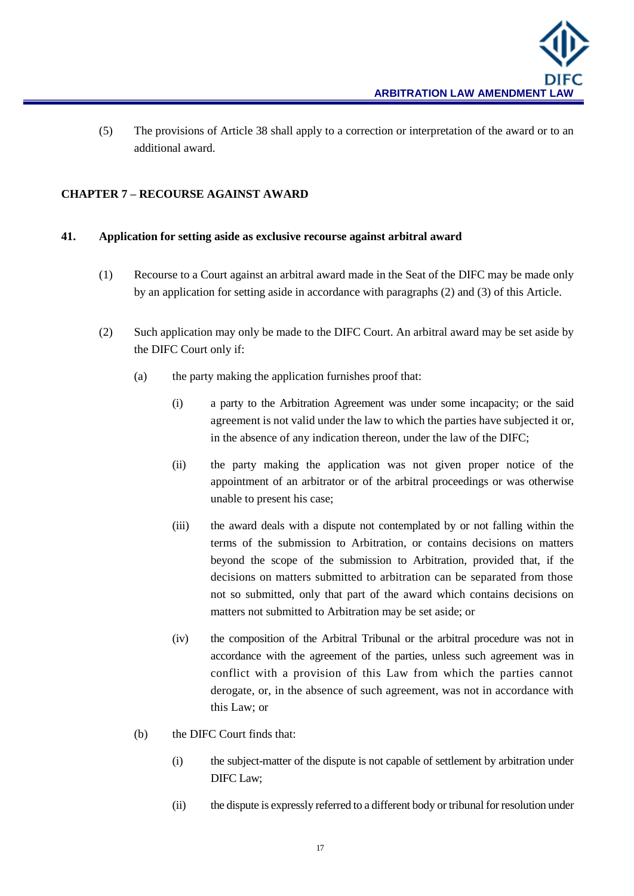(5) The provisions of Article 38 shall apply to a correction or interpretation of the award or to an additional award.

## **CHAPTER 7 – RECOURSE AGAINST AWARD**

## **41. Application for setting aside as exclusive recourse against arbitral award**

- (1) Recourse to a Court against an arbitral award made in the Seat of the DIFC may be made only by an application for setting aside in accordance with paragraphs (2) and (3) of this Article.
- (2) Such application may only be made to the DIFC Court. An arbitral award may be set aside by the DIFC Court only if:
	- (a) the party making the application furnishes proof that:
		- (i) a party to the Arbitration Agreement was under some incapacity; or the said agreement is not valid under the law to which the parties have subjected it or, in the absence of any indication thereon, under the law of the DIFC;
		- (ii) the party making the application was not given proper notice of the appointment of an arbitrator or of the arbitral proceedings or was otherwise unable to present his case;
		- (iii) the award deals with a dispute not contemplated by or not falling within the terms of the submission to Arbitration, or contains decisions on matters beyond the scope of the submission to Arbitration, provided that, if the decisions on matters submitted to arbitration can be separated from those not so submitted, only that part of the award which contains decisions on matters not submitted to Arbitration may be set aside; or
		- (iv) the composition of the Arbitral Tribunal or the arbitral procedure was not in accordance with the agreement of the parties, unless such agreement was in conflict with a provision of this Law from which the parties cannot derogate, or, in the absence of such agreement, was not in accordance with this Law; or
	- (b) the DIFC Court finds that:
		- (i) the subject-matter of the dispute is not capable of settlement by arbitration under DIFC Law;
		- (ii) the dispute is expressly referred to a different body or tribunal for resolution under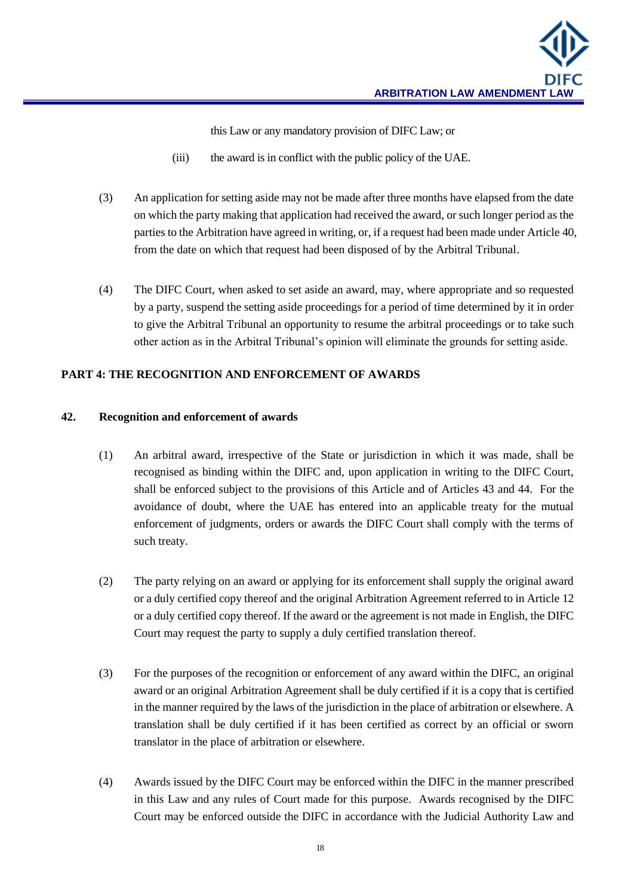this Law or any mandatory provision of DIFC Law; or

- (iii) the award is in conflict with the public policy of the UAE.
- (3) An application for setting aside may not be made after three months have elapsed from the date on which the party making that application had received the award, or such longer period as the parties to the Arbitration have agreed in writing, or, if a request had been made under Article 40, from the date on which that request had been disposed of by the Arbitral Tribunal.
- (4) The DIFC Court, when asked to set aside an award, may, where appropriate and so requested by a party, suspend the setting aside proceedings for a period of time determined by it in order to give the Arbitral Tribunal an opportunity to resume the arbitral proceedings or to take such other action as in the Arbitral Tribunal's opinion will eliminate the grounds for setting aside.

## **PART 4: THE RECOGNITION AND ENFORCEMENT OF AWARDS**

## **42. Recognition and enforcement of awards**

- (1) An arbitral award, irrespective of the State or jurisdiction in which it was made, shall be recognised as binding within the DIFC and, upon application in writing to the DIFC Court, shall be enforced subject to the provisions of this Article and of Articles 43 and 44. For the avoidance of doubt, where the UAE has entered into an applicable treaty for the mutual enforcement of judgments, orders or awards the DIFC Court shall comply with the terms of such treaty.
- (2) The party relying on an award or applying for its enforcement shall supply the original award or a duly certified copy thereof and the original Arbitration Agreement referred to in Article 12 or a duly certified copy thereof. If the award or the agreement is not made in English, the DIFC Court may request the party to supply a duly certified translation thereof.
- (3) For the purposes of the recognition or enforcement of any award within the DIFC, an original award or an original Arbitration Agreement shall be duly certified if it is a copy that is certified in the manner required by the laws of the jurisdiction in the place of arbitration or elsewhere. A translation shall be duly certified if it has been certified as correct by an official or sworn translator in the place of arbitration or elsewhere.
- (4) Awards issued by the DIFC Court may be enforced within the DIFC in the manner prescribed in this Law and any rules of Court made for this purpose. Awards recognised by the DIFC Court may be enforced outside the DIFC in accordance with the Judicial Authority Law and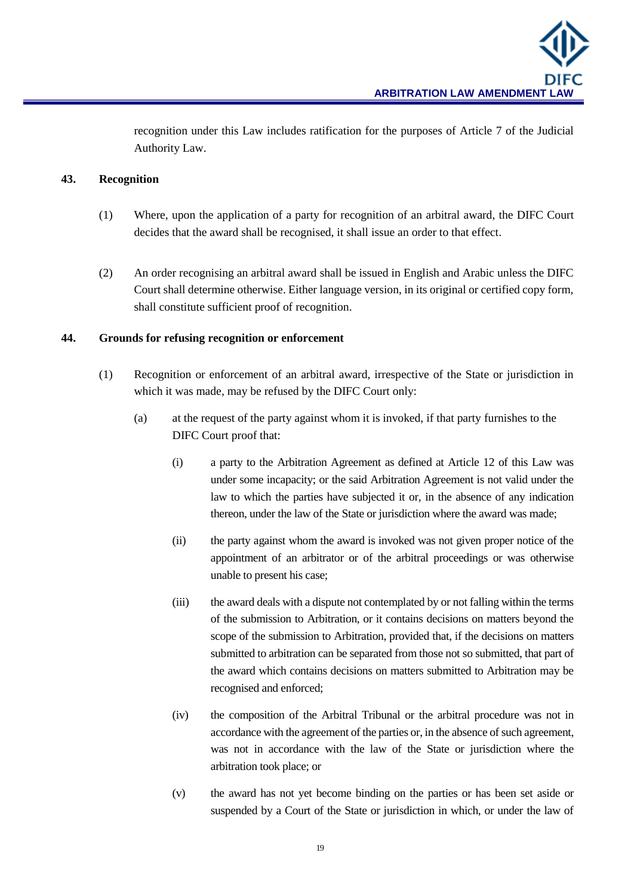recognition under this Law includes ratification for the purposes of Article 7 of the Judicial Authority Law.

## **43. Recognition**

- (1) Where, upon the application of a party for recognition of an arbitral award, the DIFC Court decides that the award shall be recognised, it shall issue an order to that effect.
- (2) An order recognising an arbitral award shall be issued in English and Arabic unless the DIFC Court shall determine otherwise. Either language version, in its original or certified copy form, shall constitute sufficient proof of recognition.

## **44. Grounds for refusing recognition or enforcement**

- (1) Recognition or enforcement of an arbitral award, irrespective of the State or jurisdiction in which it was made, may be refused by the DIFC Court only:
	- (a) at the request of the party against whom it is invoked, if that party furnishes to the DIFC Court proof that:
		- (i) a party to the Arbitration Agreement as defined at Article 12 of this Law was under some incapacity; or the said Arbitration Agreement is not valid under the law to which the parties have subjected it or, in the absence of any indication thereon, under the law of the State or jurisdiction where the award was made;
		- (ii) the party against whom the award is invoked was not given proper notice of the appointment of an arbitrator or of the arbitral proceedings or was otherwise unable to present his case;
		- (iii) the award deals with a dispute not contemplated by or not falling within the terms of the submission to Arbitration, or it contains decisions on matters beyond the scope of the submission to Arbitration, provided that, if the decisions on matters submitted to arbitration can be separated from those not so submitted, that part of the award which contains decisions on matters submitted to Arbitration may be recognised and enforced;
		- (iv) the composition of the Arbitral Tribunal or the arbitral procedure was not in accordance with the agreement of the parties or, in the absence of such agreement, was not in accordance with the law of the State or jurisdiction where the arbitration took place; or
		- (v) the award has not yet become binding on the parties or has been set aside or suspended by a Court of the State or jurisdiction in which, or under the law of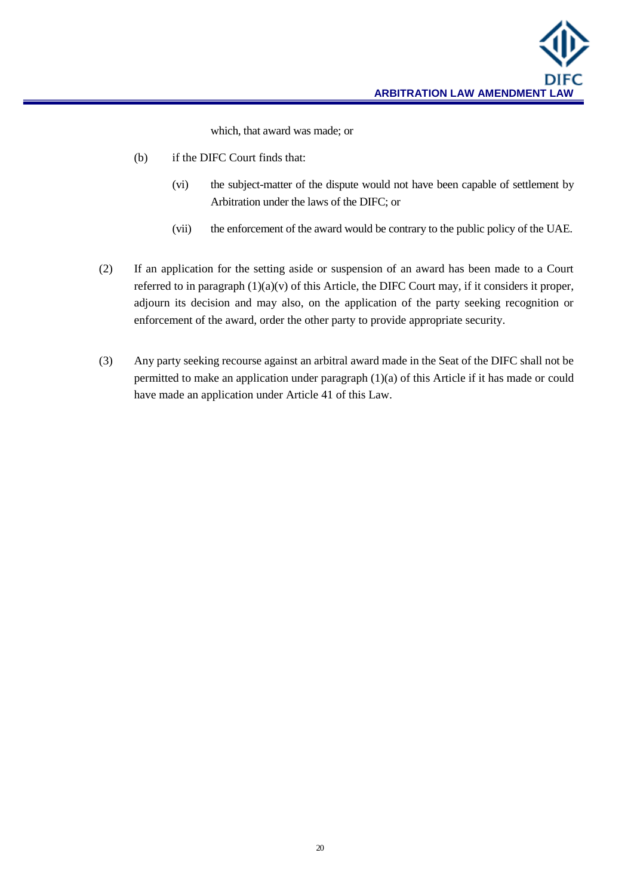which, that award was made; or

- (b) if the DIFC Court finds that:
	- (vi) the subject-matter of the dispute would not have been capable of settlement by Arbitration under the laws of the DIFC; or
	- (vii) the enforcement of the award would be contrary to the public policy of the UAE.
- (2) If an application for the setting aside or suspension of an award has been made to a Court referred to in paragraph  $(1)(a)(v)$  of this Article, the DIFC Court may, if it considers it proper, adjourn its decision and may also, on the application of the party seeking recognition or enforcement of the award, order the other party to provide appropriate security.
- (3) Any party seeking recourse against an arbitral award made in the Seat of the DIFC shall not be permitted to make an application under paragraph (1)(a) of this Article if it has made or could have made an application under Article 41 of this Law.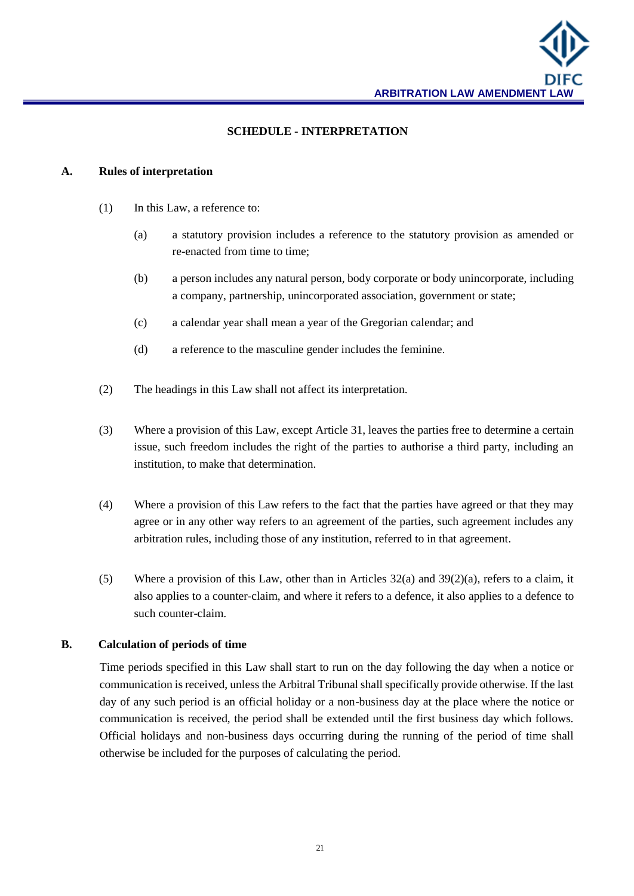

#### **SCHEDULE - INTERPRETATION**

#### **A. Rules of interpretation**

- (1) In this Law, a reference to:
	- (a) a statutory provision includes a reference to the statutory provision as amended or re-enacted from time to time;
	- (b) a person includes any natural person, body corporate or body unincorporate, including a company, partnership, unincorporated association, government or state;
	- (c) a calendar year shall mean a year of the Gregorian calendar; and
	- (d) a reference to the masculine gender includes the feminine.
- (2) The headings in this Law shall not affect its interpretation.
- (3) Where a provision of this Law, except Article 31, leaves the parties free to determine a certain issue, such freedom includes the right of the parties to authorise a third party, including an institution, to make that determination.
- (4) Where a provision of this Law refers to the fact that the parties have agreed or that they may agree or in any other way refers to an agreement of the parties, such agreement includes any arbitration rules, including those of any institution, referred to in that agreement.
- (5) Where a provision of this Law, other than in Articles  $32(a)$  and  $39(2)(a)$ , refers to a claim, it also applies to a counter-claim, and where it refers to a defence, it also applies to a defence to such counter-claim.

#### **B. Calculation of periods of time**

Time periods specified in this Law shall start to run on the day following the day when a notice or communication is received, unless the Arbitral Tribunal shall specifically provide otherwise. If the last day of any such period is an official holiday or a non-business day at the place where the notice or communication is received, the period shall be extended until the first business day which follows. Official holidays and non-business days occurring during the running of the period of time shall otherwise be included for the purposes of calculating the period.